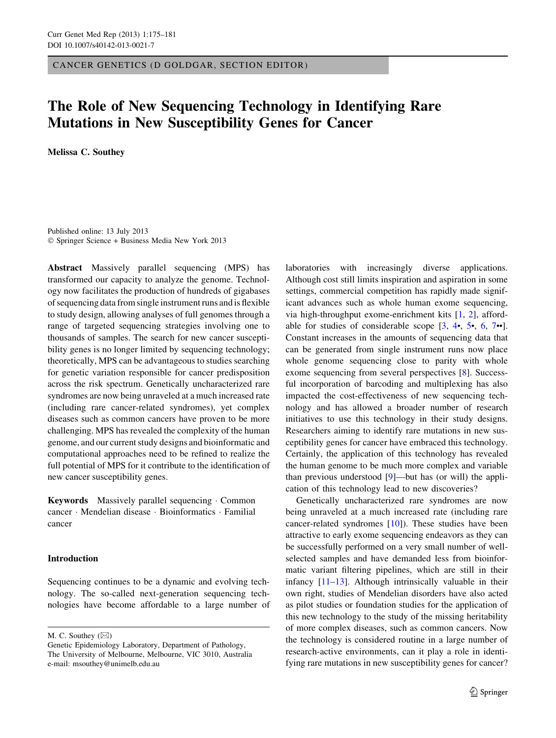CANCER GENETICS (D GOLDGAR, SECTION EDITOR)

# The Role of New Sequencing Technology in Identifying Rare Mutations in New Susceptibility Genes for Cancer

Melissa C. Southey

Published online: 13 July 2013 - Springer Science + Business Media New York 2013

Abstract Massively parallel sequencing (MPS) has transformed our capacity to analyze the genome. Technology now facilitates the production of hundreds of gigabases of sequencing data from single instrument runs and is flexible to study design, allowing analyses of full genomes through a range of targeted sequencing strategies involving one to thousands of samples. The search for new cancer susceptibility genes is no longer limited by sequencing technology; theoretically, MPS can be advantageous to studies searching for genetic variation responsible for cancer predisposition across the risk spectrum. Genetically uncharacterized rare syndromes are now being unraveled at a much increased rate (including rare cancer-related syndromes), yet complex diseases such as common cancers have proven to be more challenging. MPS has revealed the complexity of the human genome, and our current study designs and bioinformatic and computational approaches need to be refined to realize the full potential of MPS for it contribute to the identification of new cancer susceptibility genes.

Keywords Massively parallel sequencing · Common cancer - Mendelian disease - Bioinformatics - Familial cancer

# Introduction

Sequencing continues to be a dynamic and evolving technology. The so-called next-generation sequencing technologies have become affordable to a large number of

M. C. Southey  $(\boxtimes)$ 

laboratories with increasingly diverse applications. Although cost still limits inspiration and aspiration in some settings, commercial competition has rapidly made significant advances such as whole human exome sequencing, via high-throughput exome-enrichment kits [[1,](#page-4-0) [2](#page-4-0)], affordable for studies of considerable scope [\[3](#page-4-0), [4](#page-4-0)•, [5](#page-4-0)•, [6](#page-4-0), [7](#page-4-0)••]. Constant increases in the amounts of sequencing data that can be generated from single instrument runs now place whole genome sequencing close to parity with whole exome sequencing from several perspectives [\[8](#page-4-0)]. Successful incorporation of barcoding and multiplexing has also impacted the cost-effectiveness of new sequencing technology and has allowed a broader number of research initiatives to use this technology in their study designs. Researchers aiming to identify rare mutations in new susceptibility genes for cancer have embraced this technology. Certainly, the application of this technology has revealed the human genome to be much more complex and variable than previous understood [\[9](#page-4-0)]—but has (or will) the application of this technology lead to new discoveries?

Genetically uncharacterized rare syndromes are now being unraveled at a much increased rate (including rare cancer-related syndromes [\[10](#page-4-0)]). These studies have been attractive to early exome sequencing endeavors as they can be successfully performed on a very small number of wellselected samples and have demanded less from bioinformatic variant filtering pipelines, which are still in their infancy [\[11–13](#page-4-0)]. Although intrinsically valuable in their own right, studies of Mendelian disorders have also acted as pilot studies or foundation studies for the application of this new technology to the study of the missing heritability of more complex diseases, such as common cancers. Now the technology is considered routine in a large number of research-active environments, can it play a role in identifying rare mutations in new susceptibility genes for cancer?

Genetic Epidemiology Laboratory, Department of Pathology, The University of Melbourne, Melbourne, VIC 3010, Australia e-mail: msouthey@unimelb.edu.au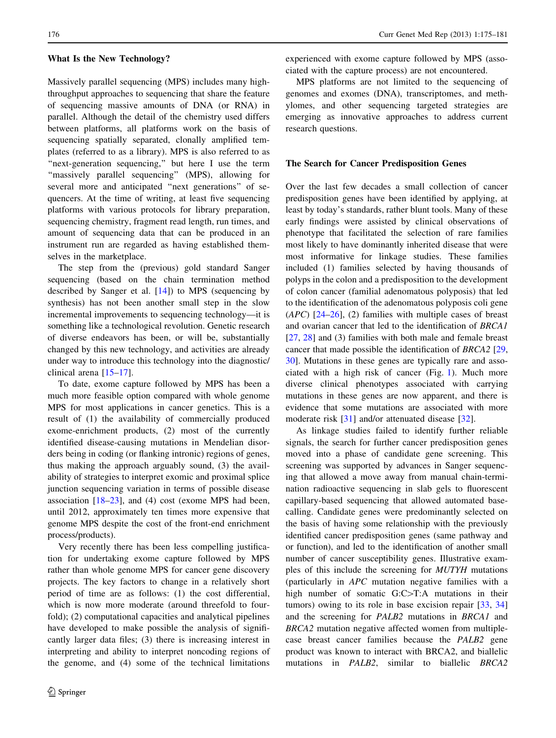#### What Is the New Technology?

Massively parallel sequencing (MPS) includes many highthroughput approaches to sequencing that share the feature of sequencing massive amounts of DNA (or RNA) in parallel. Although the detail of the chemistry used differs between platforms, all platforms work on the basis of sequencing spatially separated, clonally amplified templates (referred to as a library). MPS is also referred to as "next-generation sequencing," but here I use the term "massively parallel sequencing" (MPS), allowing for several more and anticipated ''next generations'' of sequencers. At the time of writing, at least five sequencing platforms with various protocols for library preparation, sequencing chemistry, fragment read length, run times, and amount of sequencing data that can be produced in an instrument run are regarded as having established themselves in the marketplace.

The step from the (previous) gold standard Sanger sequencing (based on the chain termination method described by Sanger et al.  $[14]$  $[14]$ ) to MPS (sequencing by synthesis) has not been another small step in the slow incremental improvements to sequencing technology—it is something like a technological revolution. Genetic research of diverse endeavors has been, or will be, substantially changed by this new technology, and activities are already under way to introduce this technology into the diagnostic/ clinical arena [\[15–17](#page-4-0)].

To date, exome capture followed by MPS has been a much more feasible option compared with whole genome MPS for most applications in cancer genetics. This is a result of (1) the availability of commercially produced exome-enrichment products, (2) most of the currently identified disease-causing mutations in Mendelian disorders being in coding (or flanking intronic) regions of genes, thus making the approach arguably sound, (3) the availability of strategies to interpret exomic and proximal splice junction sequencing variation in terms of possible disease association  $[18-23]$ , and (4) cost (exome MPS had been, until 2012, approximately ten times more expensive that genome MPS despite the cost of the front-end enrichment process/products).

Very recently there has been less compelling justification for undertaking exome capture followed by MPS rather than whole genome MPS for cancer gene discovery projects. The key factors to change in a relatively short period of time are as follows: (1) the cost differential, which is now more moderate (around threefold to fourfold); (2) computational capacities and analytical pipelines have developed to make possible the analysis of significantly larger data files; (3) there is increasing interest in interpreting and ability to interpret noncoding regions of the genome, and (4) some of the technical limitations experienced with exome capture followed by MPS (associated with the capture process) are not encountered.

MPS platforms are not limited to the sequencing of genomes and exomes (DNA), transcriptomes, and methylomes, and other sequencing targeted strategies are emerging as innovative approaches to address current research questions.

# The Search for Cancer Predisposition Genes

Over the last few decades a small collection of cancer predisposition genes have been identified by applying, at least by today's standards, rather blunt tools. Many of these early findings were assisted by clinical observations of phenotype that facilitated the selection of rare families most likely to have dominantly inherited disease that were most informative for linkage studies. These families included (1) families selected by having thousands of polyps in the colon and a predisposition to the development of colon cancer (familial adenomatous polyposis) that led to the identification of the adenomatous polyposis coli gene  $(APC)$  [[24–](#page-4-0)[26\]](#page-5-0), (2) families with multiple cases of breast and ovarian cancer that led to the identification of BRCA1 [\[27](#page-5-0), [28\]](#page-5-0) and (3) families with both male and female breast cancer that made possible the identification of BRCA2 [[29,](#page-5-0) [30](#page-5-0)]. Mutations in these genes are typically rare and associated with a high risk of cancer (Fig. [1\)](#page-2-0). Much more diverse clinical phenotypes associated with carrying mutations in these genes are now apparent, and there is evidence that some mutations are associated with more moderate risk [\[31](#page-5-0)] and/or attenuated disease [\[32](#page-5-0)].

As linkage studies failed to identify further reliable signals, the search for further cancer predisposition genes moved into a phase of candidate gene screening. This screening was supported by advances in Sanger sequencing that allowed a move away from manual chain-termination radioactive sequencing in slab gels to fluorescent capillary-based sequencing that allowed automated basecalling. Candidate genes were predominantly selected on the basis of having some relationship with the previously identified cancer predisposition genes (same pathway and or function), and led to the identification of another small number of cancer susceptibility genes. Illustrative examples of this include the screening for MUTYH mutations (particularly in APC mutation negative families with a high number of somatic  $G:C>T:A$  mutations in their tumors) owing to its role in base excision repair [[33,](#page-5-0) [34\]](#page-5-0) and the screening for PALB2 mutations in BRCA1 and BRCA2 mutation negative affected women from multiplecase breast cancer families because the PALB2 gene product was known to interact with BRCA2, and biallelic mutations in PALB2, similar to biallelic BRCA2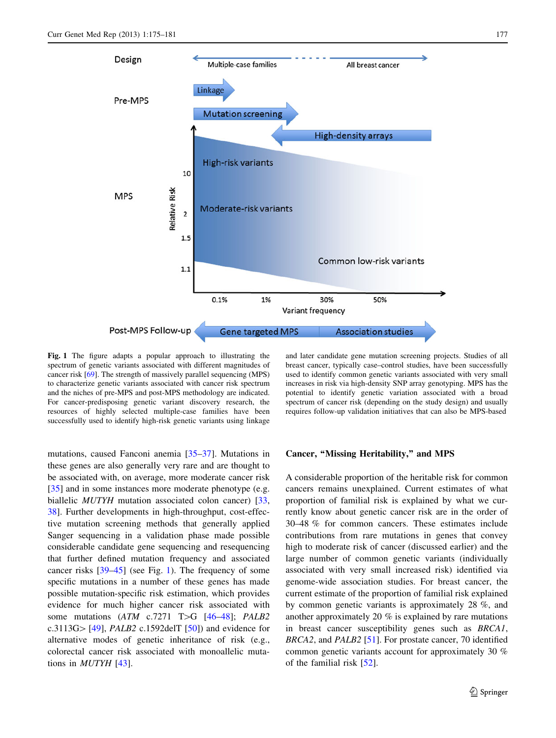<span id="page-2-0"></span>

Fig. 1 The figure adapts a popular approach to illustrating the spectrum of genetic variants associated with different magnitudes of cancer risk [\[69](#page-6-0)]. The strength of massively parallel sequencing (MPS) to characterize genetic variants associated with cancer risk spectrum and the niches of pre-MPS and post-MPS methodology are indicated. For cancer-predisposing genetic variant discovery research, the resources of highly selected multiple-case families have been successfully used to identify high-risk genetic variants using linkage

mutations, caused Fanconi anemia [[35–37\]](#page-5-0). Mutations in these genes are also generally very rare and are thought to be associated with, on average, more moderate cancer risk [\[35](#page-5-0)] and in some instances more moderate phenotype (e.g. biallelic *MUTYH* mutation associated colon cancer) [[33,](#page-5-0) [38\]](#page-5-0). Further developments in high-throughput, cost-effective mutation screening methods that generally applied Sanger sequencing in a validation phase made possible considerable candidate gene sequencing and resequencing that further defined mutation frequency and associated cancer risks [[39–45\]](#page-5-0) (see Fig. 1). The frequency of some specific mutations in a number of these genes has made possible mutation-specific risk estimation, which provides evidence for much higher cancer risk associated with some mutations  $(ATM \text{ c.7271 } T>G [46-48]; PALB2$ c.3113G $>[49]$  $>[49]$  $>[49]$ , *PALB2* c.1592delT [\[50](#page-5-0)]) and evidence for alternative modes of genetic inheritance of risk (e.g., colorectal cancer risk associated with monoallelic mutations in MUTYH [[43\]](#page-5-0).

and later candidate gene mutation screening projects. Studies of all breast cancer, typically case–control studies, have been successfully used to identify common genetic variants associated with very small increases in risk via high-density SNP array genotyping. MPS has the potential to identify genetic variation associated with a broad spectrum of cancer risk (depending on the study design) and usually requires follow-up validation initiatives that can also be MPS-based

## Cancer, "Missing Heritability," and MPS

A considerable proportion of the heritable risk for common cancers remains unexplained. Current estimates of what proportion of familial risk is explained by what we currently know about genetic cancer risk are in the order of 30–48 % for common cancers. These estimates include contributions from rare mutations in genes that convey high to moderate risk of cancer (discussed earlier) and the large number of common genetic variants (individually associated with very small increased risk) identified via genome-wide association studies. For breast cancer, the current estimate of the proportion of familial risk explained by common genetic variants is approximately 28 %, and another approximately 20 % is explained by rare mutations in breast cancer susceptibility genes such as BRCA1, BRCA2, and PALB2 [\[51](#page-5-0)]. For prostate cancer, 70 identified common genetic variants account for approximately 30 % of the familial risk [[52\]](#page-5-0).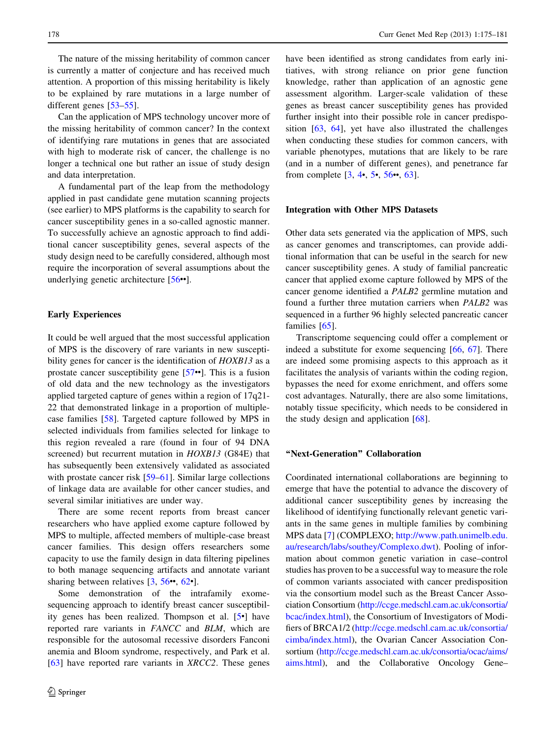The nature of the missing heritability of common cancer is currently a matter of conjecture and has received much attention. A proportion of this missing heritability is likely to be explained by rare mutations in a large number of different genes [\[53–55](#page-5-0)].

Can the application of MPS technology uncover more of the missing heritability of common cancer? In the context of identifying rare mutations in genes that are associated with high to moderate risk of cancer, the challenge is no longer a technical one but rather an issue of study design and data interpretation.

A fundamental part of the leap from the methodology applied in past candidate gene mutation scanning projects (see earlier) to MPS platforms is the capability to search for cancer susceptibility genes in a so-called agnostic manner. To successfully achieve an agnostic approach to find additional cancer susceptibility genes, several aspects of the study design need to be carefully considered, although most require the incorporation of several assumptions about the underlying genetic architecture [\[56](#page-5-0)••].

# Early Experiences

It could be well argued that the most successful application of MPS is the discovery of rare variants in new susceptibility genes for cancer is the identification of *HOXB13* as a prostate cancer susceptibility gene [[57](#page-5-0)••]. This is a fusion of old data and the new technology as the investigators applied targeted capture of genes within a region of 17q21- 22 that demonstrated linkage in a proportion of multiplecase families [[58\]](#page-5-0). Targeted capture followed by MPS in selected individuals from families selected for linkage to this region revealed a rare (found in four of 94 DNA screened) but recurrent mutation in HOXB13 (G84E) that has subsequently been extensively validated as associated with prostate cancer risk [[59–61\]](#page-5-0). Similar large collections of linkage data are available for other cancer studies, and several similar initiatives are under way.

There are some recent reports from breast cancer researchers who have applied exome capture followed by MPS to multiple, affected members of multiple-case breast cancer families. This design offers researchers some capacity to use the family design in data filtering pipelines to both manage sequencing artifacts and annotate variant sharing between relatives  $[3, 56 \bullet 62 \bullet]$  $[3, 56 \bullet 62 \bullet]$  $[3, 56 \bullet 62 \bullet]$  $[3, 56 \bullet 62 \bullet]$  $[3, 56 \bullet 62 \bullet]$  $[3, 56 \bullet 62 \bullet]$ .

Some demonstration of the intrafamily exomesequencing approach to identify breast cancer susceptibility genes has been realized. Thompson et al. [[5](#page-4-0)•] have reported rare variants in FANCC and BLM, which are responsible for the autosomal recessive disorders Fanconi anemia and Bloom syndrome, respectively, and Park et al. [\[63](#page-6-0)] have reported rare variants in XRCC2. These genes have been identified as strong candidates from early initiatives, with strong reliance on prior gene function knowledge, rather than application of an agnostic gene assessment algorithm. Larger-scale validation of these genes as breast cancer susceptibility genes has provided further insight into their possible role in cancer predisposition [\[63,](#page-6-0) [64\]](#page-6-0), yet have also illustrated the challenges when conducting these studies for common cancers, with variable phenotypes, mutations that are likely to be rare (and in a number of different genes), and penetrance far from complete [\[3](#page-4-0), [4](#page-4-0)•, [5](#page-4-0)•, [56](#page-5-0)••, [63](#page-6-0)].

## Integration with Other MPS Datasets

Other data sets generated via the application of MPS, such as cancer genomes and transcriptomes, can provide additional information that can be useful in the search for new cancer susceptibility genes. A study of familial pancreatic cancer that applied exome capture followed by MPS of the cancer genome identified a PALB2 germline mutation and found a further three mutation carriers when PALB2 was sequenced in a further 96 highly selected pancreatic cancer families [\[65](#page-6-0)].

Transcriptome sequencing could offer a complement or indeed a substitute for exome sequencing [\[66](#page-6-0), [67](#page-6-0)]. There are indeed some promising aspects to this approach as it facilitates the analysis of variants within the coding region, bypasses the need for exome enrichment, and offers some cost advantages. Naturally, there are also some limitations, notably tissue specificity, which needs to be considered in the study design and application  $[68]$  $[68]$ .

# ''Next-Generation'' Collaboration

Coordinated international collaborations are beginning to emerge that have the potential to advance the discovery of additional cancer susceptibility genes by increasing the likelihood of identifying functionally relevant genetic variants in the same genes in multiple families by combining MPS data [\[7](#page-4-0)] (COMPLEXO; [http://www.path.unimelb.edu.](http://www.path.unimelb.edu.au/research/labs/southey/Complexo.dwt) [au/research/labs/southey/Complexo.dwt\)](http://www.path.unimelb.edu.au/research/labs/southey/Complexo.dwt). Pooling of information about common genetic variation in case–control studies has proven to be a successful way to measure the role of common variants associated with cancer predisposition via the consortium model such as the Breast Cancer Association Consortium [\(http://ccge.medschl.cam.ac.uk/consortia/](http://ccge.medschl.cam.ac.uk/consortia/bcac/index.html) [bcac/index.html](http://ccge.medschl.cam.ac.uk/consortia/bcac/index.html)), the Consortium of Investigators of Modifiers of BRCA1/2 [\(http://ccge.medschl.cam.ac.uk/consortia/](http://ccge.medschl.cam.ac.uk/consortia/cimba/index.html) [cimba/index.html\)](http://ccge.medschl.cam.ac.uk/consortia/cimba/index.html), the Ovarian Cancer Association Consortium [\(http://ccge.medschl.cam.ac.uk/consortia/ocac/aims/](http://ccge.medschl.cam.ac.uk/consortia/ocac/aims/aims.html) [aims.html](http://ccge.medschl.cam.ac.uk/consortia/ocac/aims/aims.html)), and the Collaborative Oncology Gene–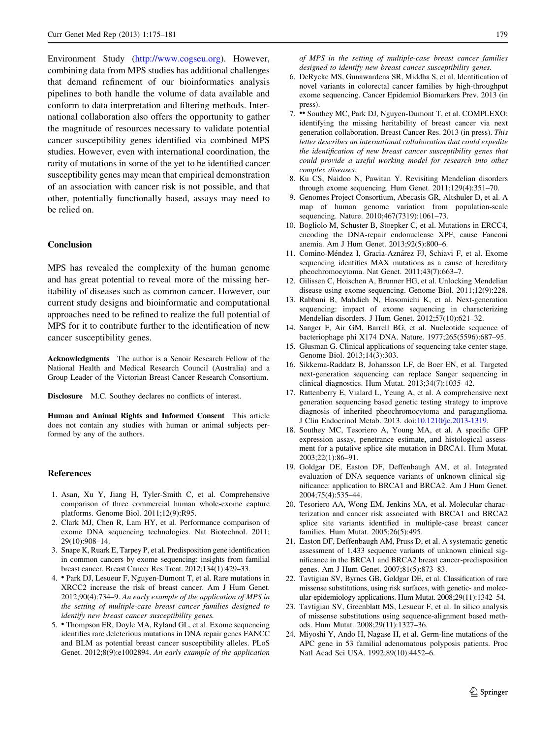<span id="page-4-0"></span>Environment Study (<http://www.cogseu.org>). However, combining data from MPS studies has additional challenges that demand refinement of our bioinformatics analysis pipelines to both handle the volume of data available and conform to data interpretation and filtering methods. International collaboration also offers the opportunity to gather the magnitude of resources necessary to validate potential cancer susceptibility genes identified via combined MPS studies. However, even with international coordination, the rarity of mutations in some of the yet to be identified cancer susceptibility genes may mean that empirical demonstration of an association with cancer risk is not possible, and that other, potentially functionally based, assays may need to be relied on.

## Conclusion

MPS has revealed the complexity of the human genome and has great potential to reveal more of the missing heritability of diseases such as common cancer. However, our current study designs and bioinformatic and computational approaches need to be refined to realize the full potential of MPS for it to contribute further to the identification of new cancer susceptibility genes.

Acknowledgments The author is a Senoir Research Fellow of the National Health and Medical Research Council (Australia) and a Group Leader of the Victorian Breast Cancer Research Consortium.

Disclosure M.C. Southey declares no conflicts of interest.

Human and Animal Rights and Informed Consent This article does not contain any studies with human or animal subjects performed by any of the authors.

## References

- 1. Asan, Xu Y, Jiang H, Tyler-Smith C, et al. Comprehensive comparison of three commercial human whole-exome capture platforms. Genome Biol. 2011;12(9):R95.
- 2. Clark MJ, Chen R, Lam HY, et al. Performance comparison of exome DNA sequencing technologies. Nat Biotechnol. 2011; 29(10):908–14.
- 3. Snape K, Ruark E, Tarpey P, et al. Predisposition gene identification in common cancers by exome sequencing: insights from familial breast cancer. Breast Cancer Res Treat. 2012;134(1):429–33.
- 4. Park DJ, Lesueur F, Nguyen-Dumont T, et al. Rare mutations in XRCC2 increase the risk of breast cancer. Am J Hum Genet. 2012;90(4):734–9. An early example of the application of MPS in the setting of multiple-case breast cancer families designed to identify new breast cancer susceptibility genes.
- 5. Thompson ER, Doyle MA, Ryland GL, et al. Exome sequencing identifies rare deleterious mutations in DNA repair genes FANCC and BLM as potential breast cancer susceptibility alleles. PLoS Genet. 2012;8(9):e1002894. An early example of the application

of MPS in the setting of multiple-case breast cancer families designed to identify new breast cancer susceptibility genes.

- 6. DeRycke MS, Gunawardena SR, Middha S, et al. Identification of novel variants in colorectal cancer families by high-throughput exome sequencing. Cancer Epidemiol Biomarkers Prev. 2013 (in press).
- 7. •• Southey MC, Park DJ, Nguyen-Dumont T, et al. COMPLEXO: identifying the missing heritability of breast cancer via next generation collaboration. Breast Cancer Res. 2013 (in press). This letter describes an international collaboration that could expedite the identification of new breast cancer susceptibility genes that could provide a useful working model for research into other complex diseases.
- 8. Ku CS, Naidoo N, Pawitan Y. Revisiting Mendelian disorders through exome sequencing. Hum Genet. 2011;129(4):351–70.
- 9. Genomes Project Consortium, Abecasis GR, Altshuler D, et al. A map of human genome variation from population-scale sequencing. Nature. 2010;467(7319):1061–73.
- 10. Bogliolo M, Schuster B, Stoepker C, et al. Mutations in ERCC4, encoding the DNA-repair endonuclease XPF, cause Fanconi anemia. Am J Hum Genet. 2013;92(5):800–6.
- 11. Comino-Méndez I, Gracia-Aznárez FJ, Schiavi F, et al. Exome sequencing identifies MAX mutations as a cause of hereditary pheochromocytoma. Nat Genet. 2011;43(7):663–7.
- 12. Gilissen C, Hoischen A, Brunner HG, et al. Unlocking Mendelian disease using exome sequencing. Genome Biol. 2011;12(9):228.
- 13. Rabbani B, Mahdieh N, Hosomichi K, et al. Next-generation sequencing: impact of exome sequencing in characterizing Mendelian disorders. J Hum Genet. 2012;57(10):621–32.
- 14. Sanger F, Air GM, Barrell BG, et al. Nucleotide sequence of bacteriophage phi X174 DNA. Nature. 1977;265(5596):687–95.
- 15. Glusman G. Clinical applications of sequencing take center stage. Genome Biol. 2013;14(3):303.
- 16. Sikkema-Raddatz B, Johansson LF, de Boer EN, et al. Targeted next-generation sequencing can replace Sanger sequencing in clinical diagnostics. Hum Mutat. 2013;34(7):1035–42.
- 17. Rattenberry E, Vialard L, Yeung A, et al. A comprehensive next generation sequencing based genetic testing strategy to improve diagnosis of inherited pheochromocytoma and paraganglioma. J Clin Endocrinol Metab. 2013. doi:[10.1210/jc.2013-1319.](http://dx.doi.org/10.1210/jc.2013-1319)
- 18. Southey MC, Tesoriero A, Young MA, et al. A specific GFP expression assay, penetrance estimate, and histological assessment for a putative splice site mutation in BRCA1. Hum Mutat. 2003;22(1):86–91.
- 19. Goldgar DE, Easton DF, Deffenbaugh AM, et al. Integrated evaluation of DNA sequence variants of unknown clinical significance: application to BRCA1 and BRCA2. Am J Hum Genet. 2004;75(4):535–44.
- 20. Tesoriero AA, Wong EM, Jenkins MA, et al. Molecular characterization and cancer risk associated with BRCA1 and BRCA2 splice site variants identified in multiple-case breast cancer families. Hum Mutat. 2005;26(5):495.
- 21. Easton DF, Deffenbaugh AM, Pruss D, et al. A systematic genetic assessment of 1,433 sequence variants of unknown clinical significance in the BRCA1 and BRCA2 breast cancer-predisposition genes. Am J Hum Genet. 2007;81(5):873–83.
- 22. Tavtigian SV, Byrnes GB, Goldgar DE, et al. Classification of rare missense substitutions, using risk surfaces, with genetic- and molecular-epidemiology applications. Hum Mutat. 2008;29(11):1342–54.
- 23. Tavtigian SV, Greenblatt MS, Lesueur F, et al. In silico analysis of missense substitutions using sequence-alignment based methods. Hum Mutat. 2008;29(11):1327–36.
- 24. Miyoshi Y, Ando H, Nagase H, et al. Germ-line mutations of the APC gene in 53 familial adenomatous polyposis patients. Proc Natl Acad Sci USA. 1992;89(10):4452–6.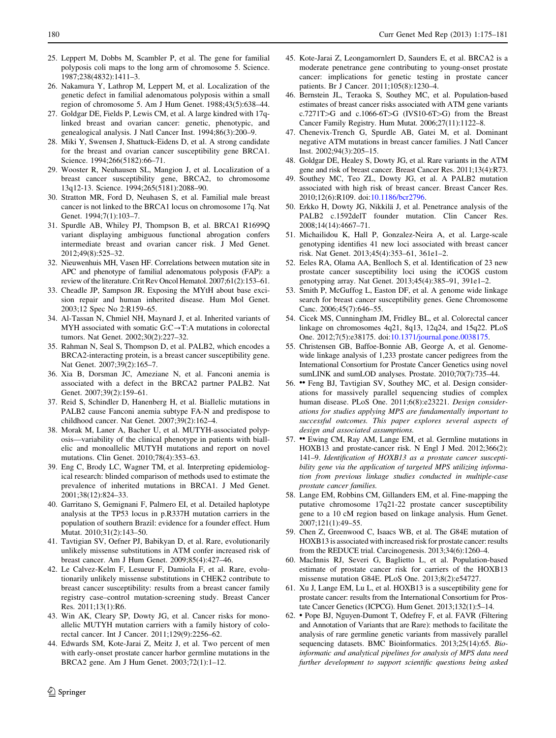- <span id="page-5-0"></span>25. Leppert M, Dobbs M, Scambler P, et al. The gene for familial polyposis coli maps to the long arm of chromosome 5. Science. 1987;238(4832):1411–3.
- 26. Nakamura Y, Lathrop M, Leppert M, et al. Localization of the genetic defect in familial adenomatous polyposis within a small region of chromosome 5. Am J Hum Genet. 1988;43(5):638–44.
- 27. Goldgar DE, Fields P, Lewis CM, et al. A large kindred with 17qlinked breast and ovarian cancer: genetic, phenotypic, and genealogical analysis. J Natl Cancer Inst. 1994;86(3):200–9.
- 28. Miki Y, Swensen J, Shattuck-Eidens D, et al. A strong candidate for the breast and ovarian cancer susceptibility gene BRCA1. Science. 1994;266(5182):66-71.
- 29. Wooster R, Neuhausen SL, Mangion J, et al. Localization of a breast cancer susceptibility gene, BRCA2, to chromosome 13q12-13. Science. 1994;265(5181):2088–90.
- 30. Stratton MR, Ford D, Neuhasen S, et al. Familial male breast cancer is not linked to the BRCA1 locus on chromosome 17q. Nat Genet. 1994;7(1):103–7.
- 31. Spurdle AB, Whiley PJ, Thompson B, et al. BRCA1 R1699Q variant displaying ambiguous functional abrogation confers intermediate breast and ovarian cancer risk. J Med Genet. 2012;49(8):525–32.
- 32. Nieuwenhuis MH, Vasen HF. Correlations between mutation site in APC and phenotype of familial adenomatous polyposis (FAP): a review of the literature. Crit Rev Oncol Hematol. 2007;61(2):153–61.
- 33. Cheadle JP, Sampson JR. Exposing the MYtH about base excision repair and human inherited disease. Hum Mol Genet. 2003;12 Spec No 2:R159–65.
- 34. Al-Tassan N, Chmiel NH, Maynard J, et al. Inherited variants of MYH associated with somatic  $G:C \rightarrow T:A$  mutations in colorectal tumors. Nat Genet. 2002;30(2):227–32.
- 35. Rahman N, Seal S, Thompson D, et al. PALB2, which encodes a BRCA2-interacting protein, is a breast cancer susceptibility gene. Nat Genet. 2007;39(2):165–7.
- 36. Xia B, Dorsman JC, Ameziane N, et al. Fanconi anemia is associated with a defect in the BRCA2 partner PALB2. Nat Genet. 2007;39(2):159–61.
- 37. Reid S, Schindler D, Hanenberg H, et al. Biallelic mutations in PALB2 cause Fanconi anemia subtype FA-N and predispose to childhood cancer. Nat Genet. 2007;39(2):162–4.
- 38. Morak M, Laner A, Bacher U, et al. MUTYH-associated polyposis—variability of the clinical phenotype in patients with biallelic and monoallelic MUTYH mutations and report on novel mutations. Clin Genet. 2010;78(4):353–63.
- 39. Eng C, Brody LC, Wagner TM, et al. Interpreting epidemiological research: blinded comparison of methods used to estimate the prevalence of inherited mutations in BRCA1. J Med Genet. 2001;38(12):824–33.
- 40. Garritano S, Gemignani F, Palmero EI, et al. Detailed haplotype analysis at the TP53 locus in p.R337H mutation carriers in the population of southern Brazil: evidence for a founder effect. Hum Mutat. 2010;31(2):143–50.
- 41. Tavtigian SV, Oefner PJ, Babikyan D, et al. Rare, evolutionarily unlikely missense substitutions in ATM confer increased risk of breast cancer. Am J Hum Genet. 2009;85(4):427–46.
- 42. Le Calvez-Kelm F, Lesueur F, Damiola F, et al. Rare, evolutionarily unlikely missense substitutions in CHEK2 contribute to breast cancer susceptibility: results from a breast cancer family registry case–control mutation-screening study. Breast Cancer Res. 2011;13(1):R6.
- 43. Win AK, Cleary SP, Dowty JG, et al. Cancer risks for monoallelic MUTYH mutation carriers with a family history of colorectal cancer. Int J Cancer. 2011;129(9):2256–62.
- 44. Edwards SM, Kote-Jarai Z, Meitz J, et al. Two percent of men with early-onset prostate cancer harbor germline mutations in the BRCA2 gene. Am J Hum Genet. 2003;72(1):1–12.
- 45. Kote-Jarai Z, Leongamornlert D, Saunders E, et al. BRCA2 is a moderate penetrance gene contributing to young-onset prostate cancer: implications for genetic testing in prostate cancer patients. Br J Cancer. 2011;105(8):1230–4.
- 46. Bernstein JL, Teraoka S, Southey MC, et al. Population-based estimates of breast cancer risks associated with ATM gene variants c.7271T $>G$  and c.1066-6T $>G$  (IVS10-6T $>G$ ) from the Breast Cancer Family Registry. Hum Mutat. 2006;27(11):1122–8.
- 47. Chenevix-Trench G, Spurdle AB, Gatei M, et al. Dominant negative ATM mutations in breast cancer families. J Natl Cancer Inst. 2002;94(3):205–15.
- 48. Goldgar DE, Healey S, Dowty JG, et al. Rare variants in the ATM gene and risk of breast cancer. Breast Cancer Res. 2011;13(4):R73.
- 49. Southey MC, Teo ZL, Dowty JG, et al. A PALB2 mutation associated with high risk of breast cancer. Breast Cancer Res. 2010;12(6):R109. doi[:10.1186/bcr2796](http://dx.doi.org/10.1186/bcr2796).
- 50. Erkko H, Dowty JG, Nikkila¨ J, et al. Penetrance analysis of the PALB2 c.1592delT founder mutation. Clin Cancer Res. 2008;14(14):4667–71.
- 51. Michailidou K, Hall P, Gonzalez-Neira A, et al. Large-scale genotyping identifies 41 new loci associated with breast cancer risk. Nat Genet. 2013;45(4):353–61, 361e1–2.
- 52. Eeles RA, Olama AA, Benlloch S, et al. Identification of 23 new prostate cancer susceptibility loci using the iCOGS custom genotyping array. Nat Genet. 2013;45(4):385–91, 391e1–2.
- 53. Smith P, McGuffog L, Easton DF, et al. A genome wide linkage search for breast cancer susceptibility genes. Gene Chromosome Canc. 2006;45(7):646–55.
- 54. Cicek MS, Cunningham JM, Fridley BL, et al. Colorectal cancer linkage on chromosomes 4q21, 8q13, 12q24, and 15q22. PLoS One. 2012;7(5):e38175. doi:[10.1371/journal.pone.0038175](http://dx.doi.org/10.1371/journal.pone.0038175).
- 55. Christensen GB, Baffoe-Bonnie AB, George A, et al. Genomewide linkage analysis of 1,233 prostate cancer pedigrees from the International Consortium for Prostate Cancer Genetics using novel sumLINK and sumLOD analyses. Prostate. 2010;70(7):735–44.
- 56. •• Feng BJ, Tavtigian SV, Southey MC, et al. Design considerations for massively parallel sequencing studies of complex human disease. PLoS One. 2011;6(8):e23221. Design considerations for studies applying MPS are fundamentally important to successful outcomes. This paper explores several aspects of design and associated assumptions.
- 57. •• Ewing CM, Ray AM, Lange EM, et al. Germline mutations in HOXB13 and prostate-cancer risk. N Engl J Med. 2012;366(2): 141–9. Identification of HOXB13 as a prostate cancer susceptibility gene via the application of targeted MPS utilizing information from previous linkage studies conducted in multiple-case prostate cancer families.
- 58. Lange EM, Robbins CM, Gillanders EM, et al. Fine-mapping the putative chromosome 17q21-22 prostate cancer susceptibility gene to a 10 cM region based on linkage analysis. Hum Genet. 2007;121(1):49–55.
- 59. Chen Z, Greenwood C, Isaacs WB, et al. The G84E mutation of HOXB13 is associated with increased risk for prostate cancer: results from the REDUCE trial. Carcinogenesis. 2013;34(6):1260–4.
- 60. MacInnis RJ, Severi G, Baglietto L, et al. Population-based estimate of prostate cancer risk for carriers of the HOXB13 missense mutation G84E. PLoS One. 2013;8(2):e54727.
- 61. Xu J, Lange EM, Lu L, et al. HOXB13 is a susceptibility gene for prostate cancer: results from the International Consortium for Prostate Cancer Genetics (ICPCG). Hum Genet. 2013;132(1):5–14.
- 62. Pope BJ, Nguyen-Dumont T, Odefrey F, et al. FAVR (Filtering and Annotation of Variants that are Rare): methods to facilitate the analysis of rare germline genetic variants from massively parallel sequencing datasets. BMC Bioinformatics. 2013;25(14):65. Bioinformatic and analytical pipelines for analysis of MPS data need further development to support scientific questions being asked